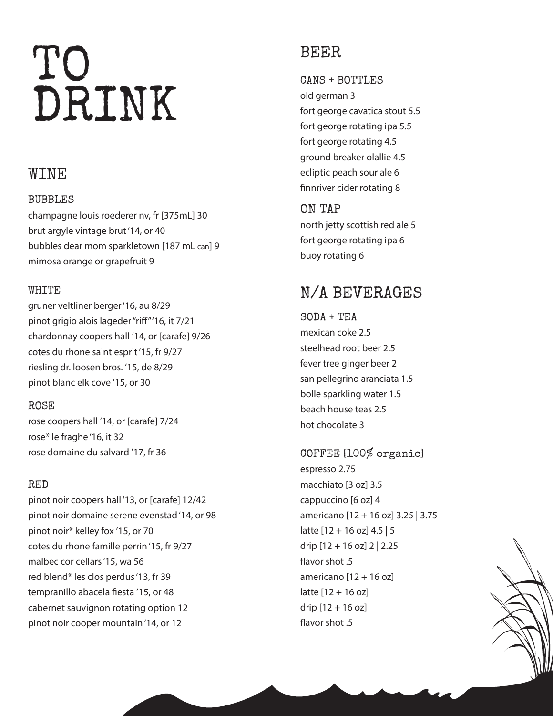# TO DRINK

## WINE

## BUBBLES

champagne louis roederer nv, fr [375mL] 30 brut argyle vintage brut '14, or 40 bubbles dear mom sparkletown [187 mL can] 9 mimosa orange or grapefruit 9

## WHITE

gruner veltliner berger '16, au 8/29 pinot grigio alois lageder "riff" '16, it 7/21 chardonnay coopers hall '14, or [carafe] 9/26 cotes du rhone saint esprit '15, fr 9/27 riesling dr. loosen bros. '15, de 8/29 pinot blanc elk cove '15, or 30

## ROSE

rose coopers hall '14, or [carafe] 7/24 rose\* le fraghe '16, it 32 rose domaine du salvard '17, fr 36

## RED

pinot noir coopers hall '13, or [carafe] 12/42 pinot noir domaine serene evenstad '14, or 98 pinot noir\* kelley fox '15, or 70 cotes du rhone famille perrin '15, fr 9/27 malbec cor cellars '15, wa 56 red blend\* les clos perdus '13, fr 39 tempranillo abacela fiesta '15, or 48 cabernet sauvignon rotating option 12 pinot noir cooper mountain '14, or 12

## BEER

CANS + BOTTLES old german 3 fort george cavatica stout 5.5 fort george rotating ipa 5.5 fort george rotating 4.5 ground breaker olallie 4.5 ecliptic peach sour ale 6 finnriver cider rotating 8

ON TAP north jetty scottish red ale 5 fort george rotating ipa 6 buoy rotating 6

## N/A BEVERAGES

 $SODA + TEA$ mexican coke 2.5 steelhead root beer 2.5 fever tree ginger beer 2 san pellegrino aranciata 1.5 bolle sparkling water 1.5 beach house teas 2.5 hot chocolate 3

COFFEE [100% organic] espresso 2.75 macchiato [3 oz] 3.5 cappuccino [6 oz] 4 americano [12 + 16 oz] 3.25 | 3.75 latte [12 + 16 oz] 4.5 | 5 drip [12 + 16 oz] 2 | 2.25 flavor shot .5 americano  $[12 + 16$  oz] latte [12 + 16 oz] drip  $[12 + 16$  oz] flavor shot .5